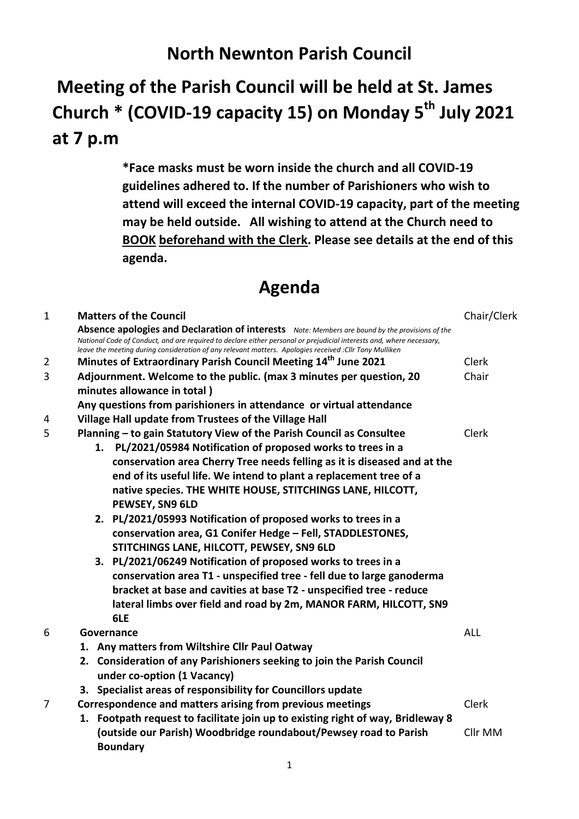## **North Newnton Parish Council**

## **Meeting of the Parish Council will be held at St. James Church \* (COVID-19 capacity 15) on Monday 5 th July 2021 at 7 p.m**

**\*Face masks must be worn inside the church and all COVID-19 guidelines adhered to. If the number of Parishioners who wish to attend will exceed the internal COVID-19 capacity, part of the meeting may be held outside. All wishing to attend at the Church need to BOOK beforehand with the Clerk. Please see details at the end of this agenda.**

## **Agenda**

| $\mathbf{1}$ | <b>Matters of the Council</b>                                                                                                                                                                                                                                                                                                      | Chair/Clerk |  |
|--------------|------------------------------------------------------------------------------------------------------------------------------------------------------------------------------------------------------------------------------------------------------------------------------------------------------------------------------------|-------------|--|
|              | Absence apologies and Declaration of interests Note: Members are bound by the provisions of the<br>National Code of Conduct, and are required to declare either personal or prejudicial interests and, where necessary,<br>leave the meeting during consideration of any relevant matters. Apologies received : Cllr Tony Mulliken |             |  |
| 2            | Minutes of Extraordinary Parish Council Meeting 14 <sup>th</sup> June 2021                                                                                                                                                                                                                                                         | Clerk       |  |
| 3            | Adjournment. Welcome to the public. (max 3 minutes per question, 20                                                                                                                                                                                                                                                                |             |  |
|              | minutes allowance in total)                                                                                                                                                                                                                                                                                                        |             |  |
|              | Any questions from parishioners in attendance or virtual attendance                                                                                                                                                                                                                                                                |             |  |
| 4            | Village Hall update from Trustees of the Village Hall                                                                                                                                                                                                                                                                              |             |  |
| 5            | Planning - to gain Statutory View of the Parish Council as Consultee                                                                                                                                                                                                                                                               |             |  |
|              | PL/2021/05984 Notification of proposed works to trees in a<br>1.                                                                                                                                                                                                                                                                   |             |  |
|              | conservation area Cherry Tree needs felling as it is diseased and at the                                                                                                                                                                                                                                                           |             |  |
|              | end of its useful life. We intend to plant a replacement tree of a                                                                                                                                                                                                                                                                 |             |  |
|              | native species. THE WHITE HOUSE, STITCHINGS LANE, HILCOTT,                                                                                                                                                                                                                                                                         |             |  |
|              | PEWSEY, SN9 6LD                                                                                                                                                                                                                                                                                                                    |             |  |
|              | 2. PL/2021/05993 Notification of proposed works to trees in a                                                                                                                                                                                                                                                                      |             |  |
|              | conservation area, G1 Conifer Hedge - Fell, STADDLESTONES,                                                                                                                                                                                                                                                                         |             |  |
|              | STITCHINGS LANE, HILCOTT, PEWSEY, SN9 6LD                                                                                                                                                                                                                                                                                          |             |  |
|              | 3. PL/2021/06249 Notification of proposed works to trees in a                                                                                                                                                                                                                                                                      |             |  |
|              | conservation area T1 - unspecified tree - fell due to large ganoderma                                                                                                                                                                                                                                                              |             |  |
|              | bracket at base and cavities at base T2 - unspecified tree - reduce                                                                                                                                                                                                                                                                |             |  |
|              | lateral limbs over field and road by 2m, MANOR FARM, HILCOTT, SN9                                                                                                                                                                                                                                                                  |             |  |
|              | 6LE                                                                                                                                                                                                                                                                                                                                |             |  |
| 6            | Governance                                                                                                                                                                                                                                                                                                                         | <b>ALL</b>  |  |
|              | 1. Any matters from Wiltshire Cllr Paul Oatway                                                                                                                                                                                                                                                                                     |             |  |
|              | 2. Consideration of any Parishioners seeking to join the Parish Council                                                                                                                                                                                                                                                            |             |  |
|              | under co-option (1 Vacancy)                                                                                                                                                                                                                                                                                                        |             |  |
|              | 3. Specialist areas of responsibility for Councillors update                                                                                                                                                                                                                                                                       |             |  |
| 7            | Correspondence and matters arising from previous meetings                                                                                                                                                                                                                                                                          |             |  |
|              | 1. Footpath request to facilitate join up to existing right of way, Bridleway 8                                                                                                                                                                                                                                                    |             |  |
|              | (outside our Parish) Woodbridge roundabout/Pewsey road to Parish<br><b>Boundary</b>                                                                                                                                                                                                                                                | Cllr MM     |  |
|              | 1                                                                                                                                                                                                                                                                                                                                  |             |  |
|              |                                                                                                                                                                                                                                                                                                                                    |             |  |